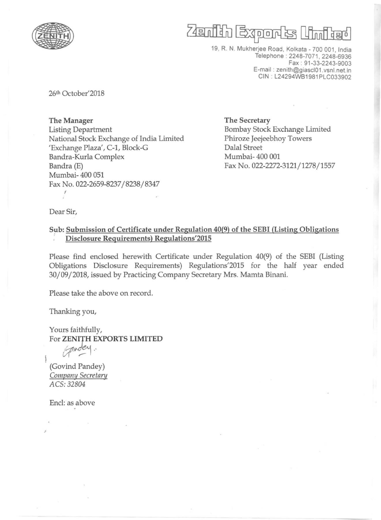

## Zenih Exon

19, R. N. Mukherjee Road, Kolkata - 700 001, India Telephone : 2248-7071, 2248-6936 Fax : 91 -33-2243-9003 E-mail: zenith@giascl01.vsnl.net.in CIN: L24294WB1981PLC033902

26th October'2018

The Manager Listing Department National Stock Exchange of India Limited 'Exchange Plaza', C-1, Block-G Bandra-Kurla Complex Bandra (E) Mumbai- 400 051 Fax No. 022-2659-8237/8238/8347 I

The Secretary Bombay Stock Exchange Limited Phiroze Jeejeebhoy Towers Dalal Street Mumbai- 400 001 Fax No. 022-2272-3121/1278/1557

Dear Sir,

Sub: Submission of Certificate under Regulation 40(9) of the SEBI (Listing Obligations Disclosure Requirements) Regulations'2015

Please find enclosed herewith Certificate under Regulation 40(9) of the SEBI (Listing Obligations Disclosure Requirements) Regulations'2015 for the half year ended 30/09/2018, issued by Practicing Company Secretary Mrs. Mamta Binani.

Please take the above on record.

Thanking you,

Yours faithfully, For ZENITH EXPORTS LIMITED

 $1$   $a^{n}$ 

(Govind Pandey) Company Secretary ACS:32804

Encl: as above

.'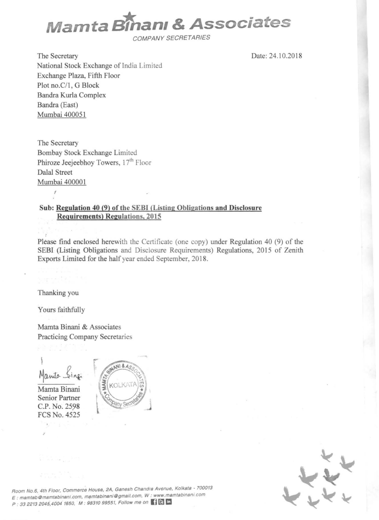

COMPANY SECRETARIES

The Secretary National Stock Exchange of India Limited Exchange Plaza, Fifth Floor Plot no.C/1, G Block Bandra Kurla Complex Bandra (East) Murnbai 400051

Date: 24.10.2018

The Secretary Bombay Stock Exchange Limited Phiroze Jeejeebhoy Towers, 17<sup>th</sup> Floor Dalal Street <u>Mumbai 400001</u><br>'

## **Sub: Regulation 40 (9) of the SEBI (Listing Obligations and Disclosure Requirements) Regulations, 201 5**

Please find enclosed herewith the Certificate (one copy) under Regulation 40 (9) of the SEBI (Listing Obligations and Disclosure Requirements) Regulations, 2015 of Zenith Exports Limited for the half year ended September, 2018.

Thanking you

Yours faithfully

Mamta Binani & Associates Practicing Company Secretaries

 $\mathfrak{h}$ ruita

Mamta Binani Senior Partner C.P. No. 2598 FCS No. 4525

 $\hat{\mathcal{S}}$ 





**Room No.6, 4th Floor, Commerce House, 2A. Ganesh Chandrs Avenue. Kolkats . 700013**   $E$  : mamtab@mamtabinani.com, mamtabinani@gmail.com, W : www.mamtabinani.com P : 33 2213 2045,4004 1650, M : 98310 99551, Follow me on [1] C In